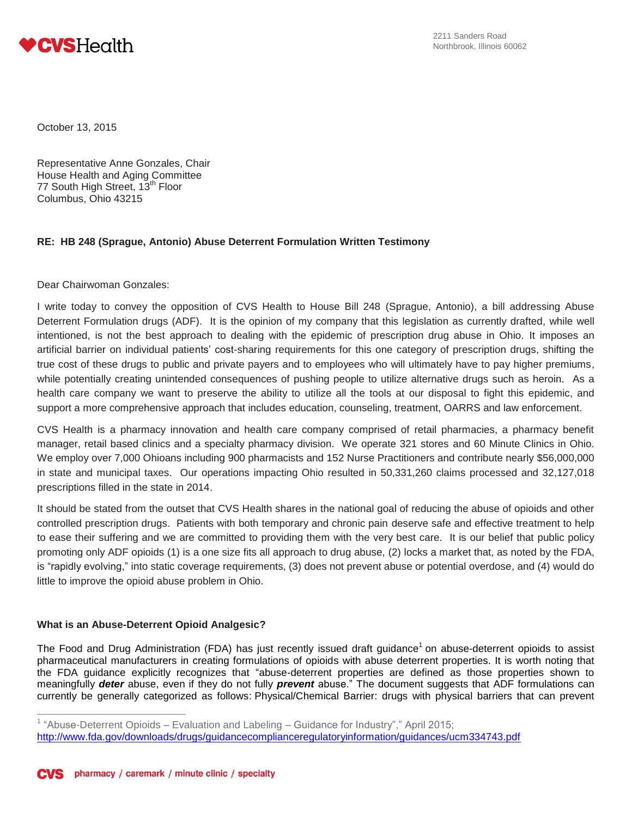

October 13, 2015

Representative Anne Gonzales, Chair House Health and Aging Committee 77 South High Street, 13<sup>th</sup> Floor Columbus, Ohio 43215

## **RE: HB 248 (Sprague, Antonio) Abuse Deterrent Formulation Written Testimony**

Dear Chairwoman Gonzales:

I write today to convey the opposition of CVS Health to House Bill 248 (Sprague, Antonio), a bill addressing Abuse Deterrent Formulation drugs (ADF). It is the opinion of my company that this legislation as currently drafted, while well intentioned, is not the best approach to dealing with the epidemic of prescription drug abuse in Ohio. It imposes an artificial barrier on individual patients' cost-sharing requirements for this one category of prescription drugs, shifting the true cost of these drugs to public and private payers and to employees who will ultimately have to pay higher premiums, while potentially creating unintended consequences of pushing people to utilize alternative drugs such as heroin. As a health care company we want to preserve the ability to utilize all the tools at our disposal to fight this epidemic, and support a more comprehensive approach that includes education, counseling, treatment, OARRS and law enforcement.

CVS Health is a pharmacy innovation and health care company comprised of retail pharmacies, a pharmacy benefit manager, retail based clinics and a specialty pharmacy division. We operate 321 stores and 60 Minute Clinics in Ohio. We employ over 7,000 Ohioans including 900 pharmacists and 152 Nurse Practitioners and contribute nearly \$56,000,000 in state and municipal taxes. Our operations impacting Ohio resulted in 50,331,260 claims processed and 32,127,018 prescriptions filled in the state in 2014.

It should be stated from the outset that CVS Health shares in the national goal of reducing the abuse of opioids and other controlled prescription drugs. Patients with both temporary and chronic pain deserve safe and effective treatment to help to ease their suffering and we are committed to providing them with the very best care. It is our belief that public policy promoting only ADF opioids (1) is a one size fits all approach to drug abuse, (2) locks a market that, as noted by the FDA, is "rapidly evolving," into static coverage requirements, (3) does not prevent abuse or potential overdose, and (4) would do little to improve the opioid abuse problem in Ohio.

## **What is an Abuse-Deterrent Opioid Analgesic?**

The Food and Drug Administration (FDA) [has just recently issued draft guidance](http://www.fda.gov/downloads/drugs/guidancecomplianceregulatoryinformation/guidances/ucm334743.pdf)<sup>1</sup> on abuse-deterrent opioids to assist pharmaceutical manufacturers in creating formulations of opioids with abuse deterrent properties. It is worth noting that the FDA guidance explicitly recognizes that "abuse-deterrent properties are defined as those properties shown to meaningfully *deter* abuse, even if they do not fully *prevent* abuse." The document suggests that ADF formulations can currently be generally categorized as follows: Physical/Chemical Barrier: drugs with physical barriers that can prevent

 1 "Abuse-Deterrent Opioids – Evaluation and Labeling – Guidance for Industry"," April 2015; <http://www.fda.gov/downloads/drugs/guidancecomplianceregulatoryinformation/guidances/ucm334743.pdf>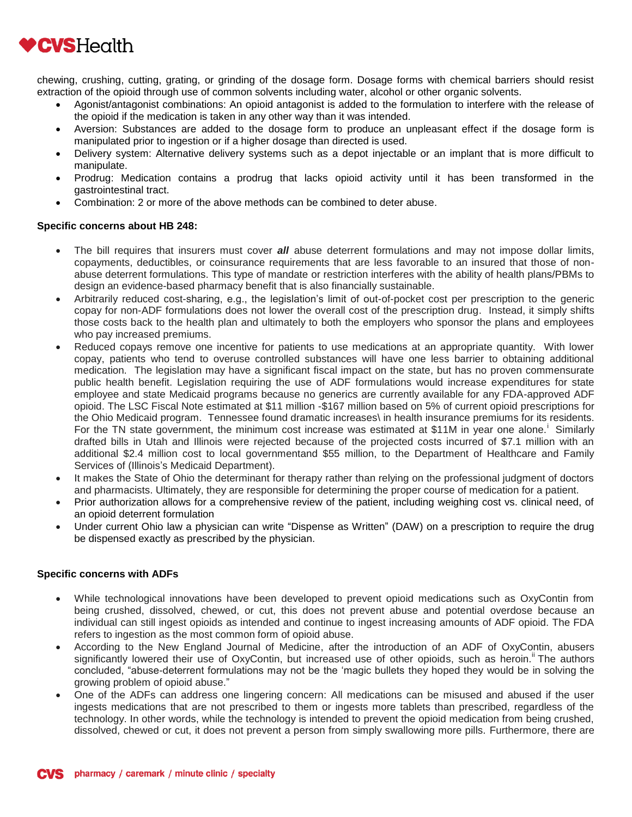

chewing, crushing, cutting, grating, or grinding of the dosage form. Dosage forms with chemical barriers should resist extraction of the opioid through use of common solvents including water, alcohol or other organic solvents.

- Agonist/antagonist combinations: An opioid antagonist is added to the formulation to interfere with the release of the opioid if the medication is taken in any other way than it was intended.
- Aversion: Substances are added to the dosage form to produce an unpleasant effect if the dosage form is manipulated prior to ingestion or if a higher dosage than directed is used.
- Delivery system: Alternative delivery systems such as a depot injectable or an implant that is more difficult to manipulate.
- Prodrug: Medication contains a prodrug that lacks opioid activity until it has been transformed in the gastrointestinal tract.
- Combination: 2 or more of the above methods can be combined to deter abuse.

## **Specific concerns about HB 248:**

- The bill requires that insurers must cover *all* abuse deterrent formulations and may not impose dollar limits, copayments, deductibles, or coinsurance requirements that are less favorable to an insured that those of nonabuse deterrent formulations. This type of mandate or restriction interferes with the ability of health plans/PBMs to design an evidence-based pharmacy benefit that is also financially sustainable.
- Arbitrarily reduced cost-sharing, e.g., the legislation's limit of out-of-pocket cost per prescription to the generic copay for non-ADF formulations does not lower the overall cost of the prescription drug. Instead, it simply shifts those costs back to the health plan and ultimately to both the employers who sponsor the plans and employees who pay increased premiums.
- Reduced copays remove one incentive for patients to use medications at an appropriate quantity. With lower copay, patients who tend to overuse controlled substances will have one less barrier to obtaining additional medication. The legislation may have a significant fiscal impact on the state, but has no proven commensurate public health benefit. Legislation requiring the use of ADF formulations would increase expenditures for state employee and state Medicaid programs because no generics are currently available for any FDA-approved ADF opioid. The LSC Fiscal Note estimated at \$11 million -\$167 million based on 5% of current opioid prescriptions for the Ohio Medicaid program. Tennessee found dramatic increases\ in health insurance premiums for its residents. For the TN state government, the minimum cost increase was estimated at \$11M in year one alone.<sup>i</sup> Similarly drafted bills in Utah and Illinois were rejected because of the projected costs incurred of \$7.1 million with an additional \$2.4 million cost to local governmentand \$55 million, to the Department of Healthcare and Family Services of (Illinois's Medicaid Department).
- It makes the State of Ohio the determinant for therapy rather than relying on the professional judgment of doctors and pharmacists. Ultimately, they are responsible for determining the proper course of medication for a patient.
- Prior authorization allows for a comprehensive review of the patient, including weighing cost vs. clinical need, of an opioid deterrent formulation
- Under current Ohio law a physician can write "Dispense as Written" (DAW) on a prescription to require the drug be dispensed exactly as prescribed by the physician.

## **Specific concerns with ADFs**

- While technological innovations have been developed to prevent opioid medications such as OxyContin from being crushed, dissolved, chewed, or cut, this does not prevent abuse and potential overdose because an individual can still ingest opioids as intended and continue to ingest increasing amounts of ADF opioid. The FDA refers to ingestion as the most common form of opioid abuse.
- According to the New England Journal of Medicine, after the introduction of an ADF of OxyContin, abusers significantly lowered their use of OxyContin, but increased use of other opioids, such as heroin." The authors concluded, "abuse-deterrent formulations may not be the 'magic bullets they hoped they would be in solving the growing problem of opioid abuse."
- One of the ADFs can address one lingering concern: All medications can be misused and abused if the user ingests medications that are not prescribed to them or ingests more tablets than prescribed, regardless of the technology. In other words, while the technology is intended to prevent the opioid medication from being crushed, dissolved, chewed or cut, it does not prevent a person from simply swallowing more pills. Furthermore, there are